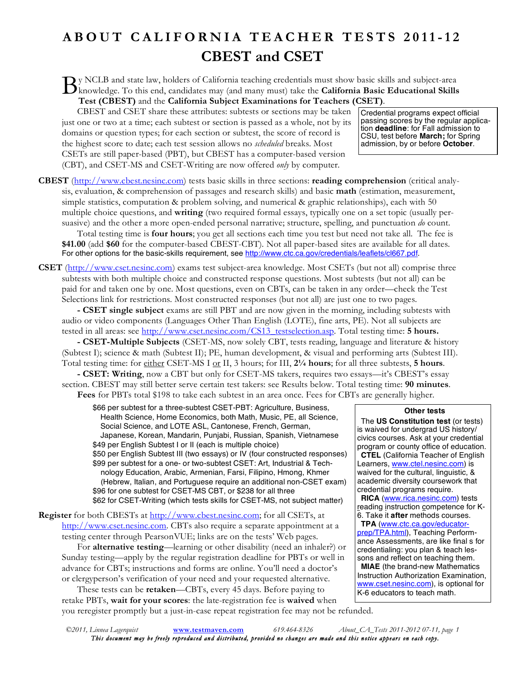## **ABOUT CALIFORNIA TEACHER TESTS 2011-12 CBEST and CSET**

y NCLB and state law, holders of California teaching credentials must show basic skills and subject-area By NCLB and state law, holders of California teaching credentials must show basic skills and subject-area<br>
knowledge. To this end, candidates may (and many must) take the **California Basic Educational Skills**<br>
The CONECT: **Test (CBEST)** and the **California Subject Examinations for Teachers (CSET)**.

CBEST and CSET share these attributes: subtests or sections may be taken just one or two at a time; each subtest or section is passed as a whole, not by its domains or question types; for each section or subtest, the score of record is the highest score to date; each test session allows no *scheduled* breaks. Most CSETs are still paper-based (PBT), but CBEST has a computer-based version (CBT), and CSET-MS and CSET-Writing are now offered *only* by computer.

Credential programs expect official passing scores by the regular application **deadline**: for Fall admission to CSU, test before **March;** for Spring admission, by or before **October**.

**CBEST** (http://www.cbest.nesinc.com) tests basic skills in three sections: **reading comprehension** (critical analysis, evaluation, & comprehension of passages and research skills) and basic **math** (estimation, measurement, simple statistics, computation & problem solving, and numerical & graphic relationships), each with 50 multiple choice questions, and **writing** (two required formal essays, typically one on a set topic (usually persuasive) and the other a more open-ended personal narrative; structure, spelling, and punctuation *do* count.

Total testing time is **four hours**; you get all sections each time you test but need not take all. The fee is **\$41.00** (add **\$60** for the computer-based CBEST-CBT). Not all paper-based sites are available for all dates. For other options for the basic-skills requirement, see http://www.ctc.ca.gov/credentials/leaflets/cl667.pdf.

**CSET** (http://www.cset.nesinc.com) exams test subject-area knowledge. Most CSETs (but not all) comprise three subtests with both multiple choice and constructed response questions. Most subtests (but not all) can be paid for and taken one by one. Most questions, even on CBTs, can be taken in any order—check the Test Selections link for restrictions. Most constructed responses (but not all) are just one to two pages.

**- CSET single subject** exams are still PBT and are now given in the morning, including subtests with audio or video components (Languages Other Than English (LOTE), fine arts, PE). Not all subjects are tested in all areas: see http://www.cset.nesinc.com/CS13\_testselection.asp. Total testing time: **5 hours.**

**- CSET-Multiple Subjects** (CSET-MS, now solely CBT, tests reading, language and literature & history (Subtest I); science & math (Subtest II); PE, human development, & visual and performing arts (Subtest III). Total testing time: for either CSET-MS I or II, 3 hours; for III, 2<sup>1</sup>/<sub>4</sub> hours; for all three subtests, 5 hours.

**- CSET: Writing**, now a CBT but only for CSET-MS takers, requires two essays—it's CBEST's essay section. CBEST may still better serve certain test takers: see Results below. Total testing time: **90 minutes**. **Fees** for PBTs total \$198 to take each subtest in an area once. Fees for CBTs are generally higher.

\$66 per subtest for a three-subtest CSET-PBT: Agriculture, Business, Health Science, Home Economics, both Math, Music, PE, all Science, Social Science, and LOTE ASL, Cantonese, French, German, Japanese, Korean, Mandarin, Punjabi, Russian, Spanish, Vietnamese \$49 per English Subtest I or II (each is multiple choice) \$50 per English Subtest III (two essays) or IV (four constructed responses) \$99 per subtest for a one- or two-subtest CSET: Art, Industrial & Technology Education, Arabic, Armenian, Farsi, Filipino, Hmong, Khmer (Hebrew, Italian, and Portuguese require an additional non-CSET exam) \$96 for one subtest for CSET-MS CBT, or \$238 for all three \$62 for CSET-Writing (which tests skills for CSET-MS, not subject matter)

**Register** for both CBESTs at http://www.cbest.nesinc.com; for all CSETs, at http://www.cset.nesinc.com. CBTs also require a separate appointment at a testing center through PearsonVUE; links are on the tests' Web pages.

For **alternative testing**—learning or other disability (need an inhaler?) or Sunday testing—apply by the regular registration deadline for PBTs or well in advance for CBTs; instructions and forms are online. You'll need a doctor's or clergyperson's verification of your need and your requested alternative.

These tests can be **retaken**—CBTs, every 45 days. Before paying to retake PBTs, **wait for your scores**: the late-registration fee is **waived** when you reregister promptly but a just-in-case repeat registration fee may not be refunded. **Other tests**

The **US Constitution test** (or tests) is waived for undergrad US history/ civics courses. Ask at your credential program or county office of education. **CTEL** (California Teacher of English Learners, www.ctel.nesinc.com) is waived for the cultural, linguistic, & academic diversity coursework that credential programs require. **RICA** (www.rica.nesinc.com) tests reading instruction competence for K-6. Take it **after** methods courses. **TPA** (www.ctc.ca.gov/educatorprep/TPA.html), Teaching Performance Assessments, are like final s for credentialing: you plan & teach lessons and reflect on teaching them. **MIAE** (the brand-new Mathematics Instruction Authorization Examination, www.cset.nesinc.com), is optional for K-6 educators to teach math.